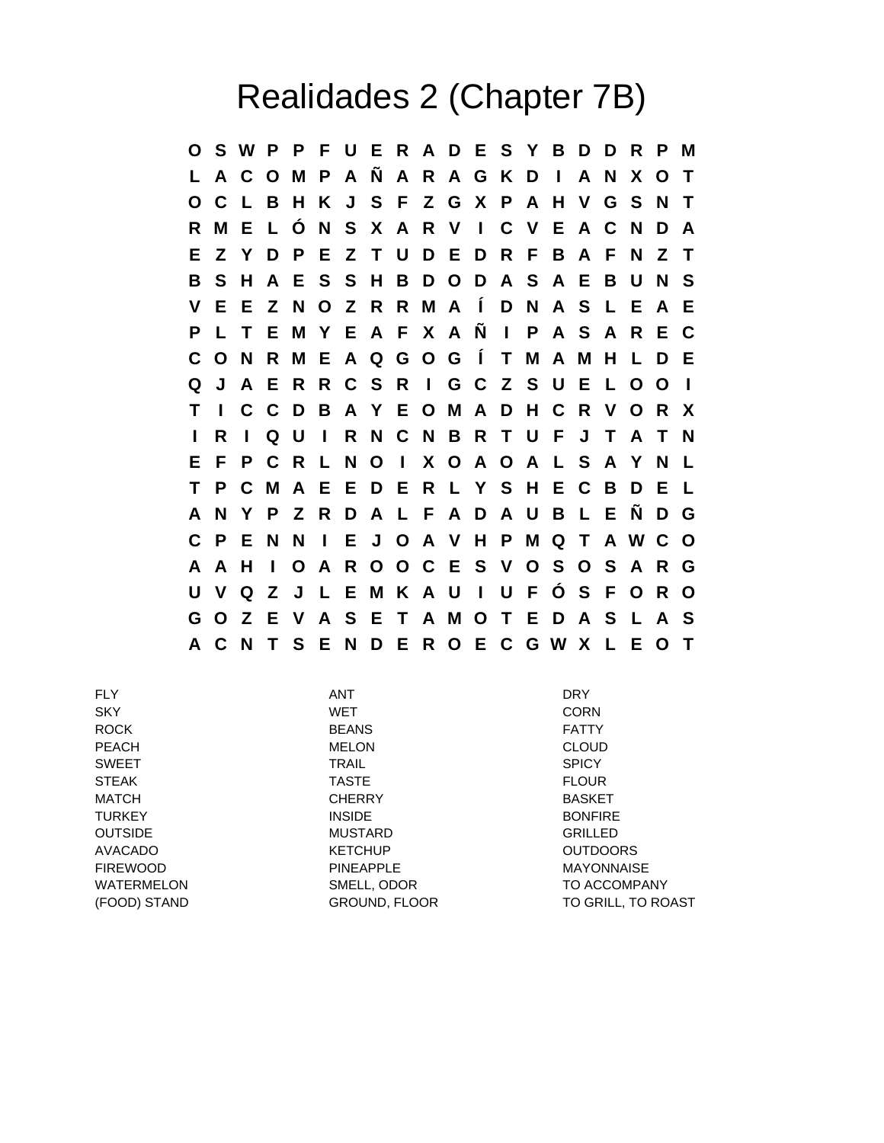## Realidades 2 (Chapter 7B)

**O S W P P F U E R A D E S Y B D D R P M L A C O M P A Ñ A R A G K D I A N X O T O C L B H K J S F Z G X P A H V G S N T R M E L Ó N S X A R V I C V E A C N D A E Z Y D P E Z T U D E D R F B A F N Z T B S H A E S S H B D O D A S A E B U N S V E E Z N O Z R R M A Í D N A S L E A E P L T E M Y E A F X A Ñ I P A S A R E C C O N R M E A Q G O G Í T M A M H L D E Q J A E R R C S R I G C Z S U E L O O I T I C C D B A Y E O M A D H C R V O R X I R I Q U I R N C N B R T U F J T A T N E F P C R L N O I X O A O A L S A Y N L T P C M A E E D E R L Y S H E C B D E L A N Y P Z R D A L F A D A U B L E Ñ D G C P E N N I E J O A V H P M Q T A W C O A A H I O A R O O C E S V O S O S A R G U V Q Z J L E M K A U I U F Ó S F O R O G O Z E V A S E T A M O T E D A S L A S A C N T S E N D E R O E C G W X L E O T**

FLY ANT DRY SKY WET CORN ROCK BEANS FATTY PEACH MELON CLOUD SWEET TRAIL SPICY STEAK TASTE FLOUR MATCH CHERRY BASKET TURKEY INSIDE BONFIRE OUTSIDE **MUSTARD** GRILLED AVACADO KETCHUP OUTDOORS FIREWOOD PINEAPPLE MAYONNAISE WATERMELON SMELL, ODOR TO ACCOMPANY (FOOD) STAND GROUND, FLOOR TO GRILL, TO ROAST